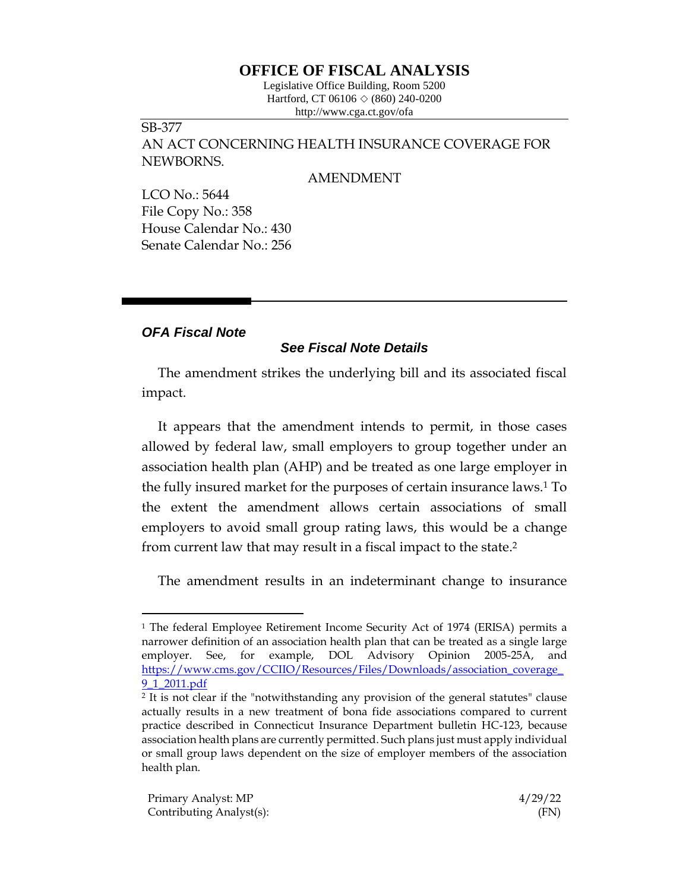# **OFFICE OF FISCAL ANALYSIS**

Legislative Office Building, Room 5200 Hartford, CT 06106  $\Diamond$  (860) 240-0200 http://www.cga.ct.gov/ofa

# SB-377 AN ACT CONCERNING HEALTH INSURANCE COVERAGE FOR NEWBORNS.

#### AMENDMENT

LCO No.: 5644 File Copy No.: 358 House Calendar No.: 430 Senate Calendar No.: 256

## *OFA Fiscal Note*

### *See Fiscal Note Details*

The amendment strikes the underlying bill and its associated fiscal impact.

It appears that the amendment intends to permit, in those cases allowed by federal law, small employers to group together under an association health plan (AHP) and be treated as one large employer in the fully insured market for the purposes of certain insurance laws.<sup>1</sup> To the extent the amendment allows certain associations of small employers to avoid small group rating laws, this would be a change from current law that may result in a fiscal impact to the state. 2

The amendment results in an indeterminant change to insurance

<sup>1</sup> The federal Employee Retirement Income Security Act of 1974 (ERISA) permits a narrower definition of an association health plan that can be treated as a single large employer. See, for example, DOL Advisory Opinion 2005-25A, and [https://www.cms.gov/CCIIO/Resources/Files/Downloads/association\\_coverage\\_](https://www.cms.gov/CCIIO/Resources/Files/Downloads/association_coverage_9_1_2011.pdf) [9\\_1\\_2011.pdf](https://www.cms.gov/CCIIO/Resources/Files/Downloads/association_coverage_9_1_2011.pdf)

<sup>2</sup> It is not clear if the "notwithstanding any provision of the general statutes" clause actually results in a new treatment of bona fide associations compared to current practice described in Connecticut Insurance Department bulletin HC-123, because association health plans are currently permitted. Such plans just must apply individual or small group laws dependent on the size of employer members of the association health plan.